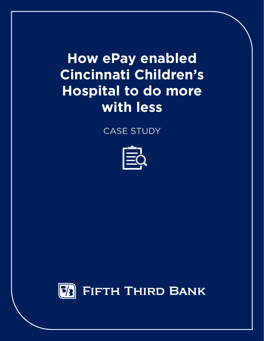**How ePay enabled Cincinnati Children's Hospital to do more with less**

CASE STUDY



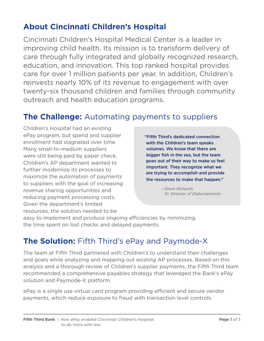# **About Cincinnati Children's Hospital**

Cincinnati Children's Hospital Medical Center is a leader in improving child health. Its mission is to transform delivery of care through fully integrated and globally recognized research, education, and innovation. This top ranked hospital provides care for over 1 million patients per year. In addition, Children's reinvests nearly 10% of its revenue to engagement with over twenty-six thousand children and families through community outreach and health education programs.

### **The Challenge:** Automating payments to suppliers

Children's Hospital had an existing ePay program, but spend and supplier enrollment had stagnated over time. Many small-to-medium suppliers were still being paid by paper check. Children's AP department wanted to further modernize its processes to maximize the automation of payments to suppliers with the goal of increasing revenue sharing opportunities and reducing payment processing costs. Given the department's limited resources, the solution needed to be

"Fifth Third's dedicated connection with the Children's team speaks volumes. We know that there are bigger fish in the sea, but the team goes out of their way to make us feel important. They recognize what we are trying to accomplish and provide the resources to make that happen."

> *—Steve Richards Sr. Director of Disbursements*

easy to implement and produce ongoing efficiencies by minimizing the time spent on lost checks and delayed payments.

## **The Solution:** Fifth Third's ePay and Paymode-X

The team at Fifth Third partnered with Children's to understand their challenges and goals while analyzing and mapping out existing AP processes. Based on this analysis and a thorough review of Children's supplier payments, the Fifth Third team recommended a comprehensive payables strategy that leveraged the Bank's ePay solution and Paymode-X platform.

ePay is a single use virtual card program providing efficient and secure vendor payments, which reduce exposure to fraud with transaction level controls.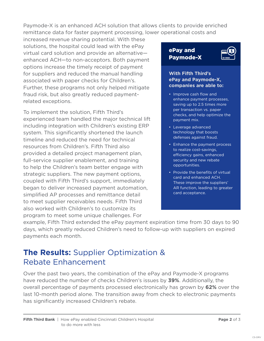Paymode-X is an enhanced ACH solution that allows clients to provide enriched remittance data for faster payment processing, lower operational costs and

increased revenue sharing potential. With these solutions, the hospital could lead with the ePay virtual card solution and provide an alternative enhanced ACH—to non-acceptors. Both payment options increase the timely receipt of payment for suppliers and reduced the manual handling associated with paper checks for Children's. Further, these programs not only helped mitigate fraud risk, but also greatly reduced paymentrelated exceptions.

To implement the solution, Fifth Third's experienced team handled the major technical lift including integration with Children's existing ERP system. This significantly shortened the launch timeline and reduced the need for technical resources from Children's. Fifth Third also provided a detailed project management plan, full-service supplier enablement, and training to help the Children's team better engage with strategic suppliers. The new payment options, coupled with Fifth Third's support, immediately began to deliver increased payment automation, simplified AP processes and remittance detail to meet supplier receivables needs. Fifth Third also worked with Children's to customize its program to meet some unique challenges. For

ePay and Paymode-X



#### **With Fifth Third's ePay and Paymode-X, companies are able to:**

- Improve cash flow and enhance payment processes, saving up to 2.5 times more per transaction vs. paper checks, and help optimize the payment mix.
- Leverage advanced technology that boosts defenses against fraud.
- Enhance the payment process to realize cost-savings, efficiency gains, enhanced security and new rebate opportunities.
- Provide the benefits of virtual card and enhanced ACH. These improve the suppliers' AR function, leading to greater card acceptance.

example, Fifth Third extended the ePay payment expiration time from 30 days to 90 days, which greatly reduced Children's need to follow-up with suppliers on expired payments each month.

# **The Results:** Supplier Optimization & Rebate Enhancement

Over the past two years, the combination of the ePay and Paymode-X programs have reduced the number of checks Children's issues by **39%**. Additionally, the overall percentage of payments processed electronically has grown by **62%** over the last 10-month period alone. The transition away from check to electronic payments has significantly increased Children's rebate.